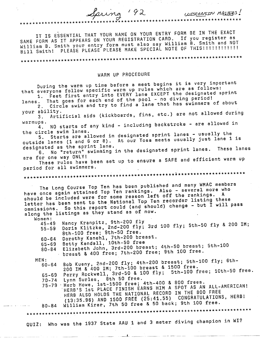IT IS ESSENTIAL THAT YOUR NAME ON YOUR ENTRY FORM BE IN THE EXACT SAME FORM AS IT APPEARS ON YOUR REGISTRATION CARD. If you register as William B. Smith your entry form must also say William B. Smith and NOT Bill Smith! PLEASE PLEASE PLEASE MAKE SPECIAL NOTE OF THIS!!!!!!!!!!!!

\*\*\*\*\*\*\*\*\*\*\*\*\*\*\*\*\*\*\*\*\*\*\*\*\*\*\*\*\*\*\*\*\*\*\*

Spring 192

# WARM UP PROCEDURE

\*\*\*\*\*\*\*\*\*\*\*\*\*\*\*\*\*\*\*\*\*\*

During the warm up time before a meet begins it is very important that everyone follow specific warm up rules which are as follows: 1. Feet first entry into EVERY lane EXCEPT the designated sprint That goes for each end of the pool - no diving period! 2. Circle swim and try to find a lane that has swimmers of about lanes. your ability. 3. Artificial aids (kickboards, fins, etc.) are not allowed during warmups. 4. NO starts of any kind - including backstroke - are allowed in the circle swim lanes. 5. Starts are allowed in designated sprint lanes - usually the outside lanes (1 and 6 or 8). At our Tosa meets usually just lane 1 is designated as the sprint lane. 6. No "return" swimming in the designated sprint lanes. These lanes are for one way ONLY! These rules have been set up to ensure a SAFE and efficient warm up period for all swimmers. \*\*\*\*\*\*\*\*\*\*\*\*\*\*\*\*\*\*\*\*\*\*\*\*\*\*\*\*\*\*\*\*\* The Long Course Top Ten has been published and many WMAC members have once again attained Top Ten rankings. Also - several more who should be included were for some reason left off the rankings. A letter has been sent to the National Top Ten recorder listing these ommissions. So this report could (and should) change - but I will pass along the listings as they stand as of now. Women: Nancy Kranpitz, 9th-200 fly Doris Klitzke, 2nd-200 fly; 3rd 100 fly; 5th-50 fly & 200 IM;<br>8th-100 free; 9th-50 free.  $45 - 49$  $55 - 59$ Dorothy Kanehl, 7th-200 breast.  $60 - 64$ Betty Kendall, 10th-50 free 65-69 Elizabeth John, 3rd-200 breast; 4th-50 breast; 5th-100 80-84 breast & 400 free; 7th-200 free; 9th 100 free. Bob Kueny, 2nd-200 fly; 4th-200 breast; 5th-100 fly; 6th-MEN:  $60 - 64$ 200 IM & 400 IM; 7th-100 breast & 1500 free. Perry Rockwell, 3rd-50 & 100 fly; 5th-100 free; 10th-50 free. 65-69 Lynn Surles, 8th 50 free.  $70 - 74$ 75-79 Herb Howe, 1st-1500 free; 4th-400 & 800 frees. HERB'S 1st PLACE FINISH EARNS HIM A SPOT AS AN ALL-AMERICAN! HERB ALSO HOLDS THE NATIONAL RECORD IN THE 800 FREE (13:35.96) AND 1500 FREE (25:41.55) CONGRATULATIONS, HERB! William Kirar, 7th 50 free & 50 back; 9th 100 free.  $80 - 84$ \*\*\*\*\*\*\*\*\*\*\*\*\*\*\*\*\*\*\*\*\*\*\*\*\*\*\*\*\*\*\*\* QUIZ: Who was the 1937 State AAU 1 and 3 meter diving champion in WI?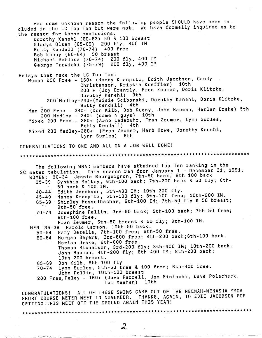For some unknown reason the following people SHOULD have been included in the LC Top Ten but were not. We have formally inquired as to the reason for these exclusions. Dorothy Kanehl (60-63) 50 & 100 breast Gladys Olsen (65-69} 200 fly, 400 IM Betty Kendall (70-74) 400 free Bob Kueny (60-64) 50 breast Michael Sablica (70-74) 200 fly, 400 IM George Trawicki (75-79) 200 fly, 400 IM Relays that made the LC Top Ten: Women 200 Free - 160+ (Nancy Kranpitz, Edith Jacobsen, Candy Christenson, Kristin Koeffler} 10th 200 + (Joy Brantly, Fran Zeumer, Doris Klitzke, Dorothy Kanehl) 9th 200 Medley-240+(Maisie Sciborski, Dorothy Kanehl, Doris Klitzke, Betty Kendall) 4th Men 200 Free - 240+ (Don Kilb, Bob Kueny, John Bauman, Harlan Drake) 5th 200 Medley - 240+ (same 4 guys) 10th Mixed 200 Free - 280+ (Arno Ledebuhr, Fran Zeumer, Lynn Surles, Betty Kendall) 4th Mixed 200 Medley-280+ (Fran Zeumer, Herb Howe, Dorothy Kanehl, Lynn Surles) 6th CONGRATULATIONS TO ONE AND ALL ON A JOB WELL DONE! \*\*\*\*\*\*\*\*\*\*\*\*\*\*\*\*\*\*\*\*\*\*\*\*\*\*\*\*\*\*\*\*\*\*\*\*\*\*\*\*\*\*\*\*\*\*\*\*\*\*\*\*\*\*\*\*\*\*\*\*\*\*\*\*\*\*\*\*\*\*\*\*\*\*\* The following WMAC members have attained Top Ten ranking in the SC meter tabulation. This season ran fron January 1 - December 31, 1991. WOMEN: 30-34 Jennie Bourguignon, 7th-50 back, 8th 100 back 35-39 Cynthia Maltry, Gth-100 back; 7th-200 back & 50 fly; Sth-**40-44**  45-49  $65 - 69$ 50 back & 100 IM. Edith Jacobsen, 5th-400 IM; 10th 200 fly. Nancy Kranpitz, 5th-100 fly; Sth-100 free; 10th-200 IM. Shirley Hasselbacher, 6th-100 IM; 7th-50 fly & 50 breast;<br>9th-50 free. 9th-50 free. *State of the state of the state of the state of the state of the state* **of the state of the state of the state of the state of the state of the state of the state of the state of the state of the state of th** 70:74 Josephine Pallin, 3rd-50 back; 5th-100 back; 7th-50 free; Sth-100 free. Fran Zeumer, 6th-50 breast & 50 fly; Sth-100 IM. MEN 35-39 Harold Larson, 10th-50 back. 50-54 Gary Bezella, 7th-100 free; Sth-50 free. 60-64 Morgan Beyers, 3rd-BOO free; 4th-200 back;6th-100 back. Harlan Drake, 6th-BOO free. Thomas Michelson, 3rd-200 fly; Sth-400 IM; 10th-200 back. John Bauman, 4th-200 fly; Sth-400 IM; Bth-200 back; 10th 200 breast. 65-69 Don Kilb, Sth-100 fly 70-74 Lynn Surles, 5th-50 free & 100 free; 6th-400 free. John Pallin, 10th=100 breast 200 Free Relay - 160+ (Dave Farrell, Jon Miniachi, Dave Polacheck, · Tom Meehan) 10th CONGRATULATIONS! ALL OF THESE SWIMS CAME OUT OF THE NEENAH-MENASHA YMCA SHORT COURSE METER MEET IN NOVEMBER. THANKS, AGAIN, TO EDIE JACOBSEN FOR GETTING THIS MEET OFF THE GROUND AGAIN THIS YEAR! \*\*\*\*\*\*\*\*\*\*\*\*\*\*\*\*\*\*\*\*\*\*\*\*\*\*\*\*\*\*\*\*\*\*\*\*\*\*\*\*\*\*\*\*\*\*\*\*\*\*\*\*\*\*\*\*\*\*\*\*\*\*\*\*\*\*\*\*\*\*\*\*\*\*\*

2

~\_j '\_\_.\_'.\_ -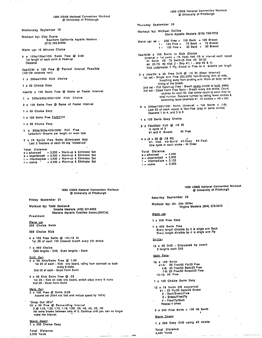Wednesday September <sup>19</sup>

Workout by: Clay Evans Southern California Aquatic Masters - (213) 390-SWIM

Warm up: 10 Minutes Choice

<sup>4</sup>x 150a/125el/100r Swim Free @ 2:00 1st length of each swim is Head-up Descend

6ae/5i/4r x 100 Free @ Fastest Interval Possible (:03•:09- seconds rest)

<sup>x</sup>200ae/150ir Kick Choice

x 50 Choice Easy

4ael/3r x 100 Swim Free @ Same or Faster Interval

<sup>x</sup>300a/250e/200i/150r Kick Choice

**<sup>2</sup>x** 100 Swim Free @ Same of Faster Interval

**<sup>x</sup>**50 Choice Easy

1 x 100 Swim Free FASI!!!!

<sup>x</sup>50 Choice Easy

. 1 x 600a/500e/400i/300r Pull Free 1 a/2e/3i/4r Breaths per length on even laps

? **x** 25 Sprint Free Swim (Eliminator Set) Last 2 finishers of each 25 are "kicked-out"

Total Distance

|  | a = advanced                                          |  |  | $= 3.200 + Warm-up$ & Eliminator Set |  |
|--|-------------------------------------------------------|--|--|--------------------------------------|--|
|  | $e =$ experienced = 2,950 + Warm-up & Eliminator Set  |  |  |                                      |  |
|  | $i =$ intermediate = 2,650 + Warm-up & Eliminator Set |  |  |                                      |  |
|  | $r =$ rookie                                          |  |  | $= 2.200 + Warm-up$ & Eliminator Set |  |

· 1990 USMS National Convention Workout @ Unlversily of Pittsburgh

Friday September <sup>21</sup>

Workout by: Todd Samland Omaha Masters (402) 551-8062 President Masters Aquatic Coaches Assoc.(MACA)

**Warm yp:**  200 Choice Swim

300 Choice Kick

4 x 100 Free Swim @ :10-:15 RI 1st 25 of each 100 bilateral breath every 5th stroke

**x 400** Choice Odd lengths • Drill; Even lengths • Swim

Drill Set:

<sup>4</sup>**x 50** Kick/Swim Free @ 1 :00 1st 25 of each - Kick w/o board, rolling from stomach to back every 8 kicks 2nd 25 of each • Good Form Swim

4 x 50 Kick Swim Free @ :55 1st 25 - Kick on side w/o board, switch sides every 8 kicks 2nd 25 • Good Form Swim

<u>Main Set</u>:<br>5 x 100 Free @ Swim 2:00 Assend set (Start out fast and reduce speed by 100"s)

"Drop Out 50's" 30 x 50 Free @ Descending Interval<br>3 @ 1:45, 1:30, 1:15, 1:10, 1:00, :50, :45, :40, :35, :30<br>No extra breaks between sets of 3. Continue until you can no longer<br>make the interval.

Warm down! 1 x 200 Choice Easy

Total Distance

3,900 Yards

1990 USMS National Convention Workout @ University of Pittsburgh

Thursday September <sup>20</sup>

Workout by: Michael Collins Davis Aquatic Masters (916) 758-7212

Warm up: ae • 200 Free + 100 Back + 100 Breast I • 150 Free + 75 Back + 75 Bree st r • 100 Free + 50 Back + 50 Breast

Sae/4i/3r x 100 Swim to Kick Choice Viet all • 1st swim + :15 Rest) Add :05 to interval each repeat<br>#1 Swim #2 75 Swim-25 Kick #3 50-50<br>#4 25-75 #5 Kick (i • Skip #1: r • skip #2 & 4)<br>Kick underwater if Fly, Breast or Free w/ 4 breaths per length

<sup>3</sup>x (4ae/3ir x 50 Free Drlll @ :15 RI (Rest Interval) 1st set • Single Arm Free (25U25R) Non-Stroking Arm al side, breathing away from stroking arm. Work on body roll tor timing of the breath.

2nd set • Full Catch-up Free • Breath every stroke to both sides.<br>3rd set • Good Form Free Swim • Breath every 3rd stroke. Count strokes for each 50. Add stroke count to swim time for total number. Descend number by taking fewer strokes & swimming faster.(example #1 44 strokes + :40 = 84)

8 x 200ae/1501/100r Swim (interval = 1st Swim + :15) Last 50 of each repeat is Non-Free (stay in same stroke) Descend 1 to 4, and 5 to 8

**<sup>x</sup>**100 Swim Easy Choice

**<sup>6</sup>x** 75a/50eir Pull @ :15 RI In cycle of 3 #1 and 2 Breast; #3 Free

4 x (4 x 25  $\circledcirc$  :15 RI) r<br>#1- Kick #2-Build #3-Easy #4-Fast<br>One cycle in each stroke - IM Order

Total Distance a • advanced • 4,050 **<sup>e</sup>**• experienced • 3,900 I • intermediate • 3,150

 $r =$  rookie  $= 2,550$ 

1990 USMS National Convention Workout @ University of Pittsburgh

Saturday September <sup>22</sup>

Workout by: Or, Jim Miller Virgina Masters (804) 272-2513 ·

warm up:

**<sup>x</sup>**200 Free Easy

**<sup>x</sup>**600 Swim Free Every length divisible by 3 is single arm Back Every lenght divisible by 4 is single arm Fly

Drills:

<sup>12</sup>x 25 Drill • Discussed by coach 3 lenghts each Drill

Main Sets:

12 x 100 Swim #1-3: 25 Free/SO Fly/25 Free 4-6: 25 Free/50 Back/25 Free 7-9: 25 Free/50 BreasV25 Free 10-12: All Free

1 x 150 Choice Swim Easy

12 x 75 Swim (IM sequence) # 1 • 25 Fly/25 Back/25 Breast

- 2 Back/BreasVFree **3** • BreasVFreeiFly
	- **<sup>4</sup>** Free/Fly/Back
- Repeal 4 limes

 $3 \times 200$  Free Swim + 100 IM Swim

Warm Down:

1 x 200 Easy Drill using all stroke

Total Dist,ance 4,450 Yards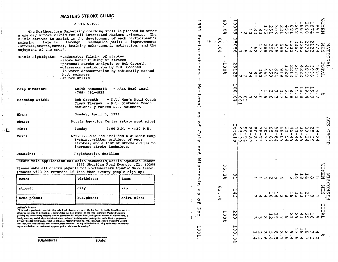#### **MASTERS STROKE CLINIC**

#### APRIL 5,1992

The Northwestern University coaching staff is pleased to offer a one day stroke clinic for all interested Masters swimmers. The clinic strives to assist in the development of each participant's mechanical/skill improvements through swimming talents (strokes, starts, turns), training enhancement, motivation, and the enjoyment of the sport.

|           | Clinic Highlights: - underwater filming of strokes |
|-----------|----------------------------------------------------|
|           | --above water filming of strokes                   |
|           | -personal stroke analysis by Bob Groseth           |
|           | -classroom instruction by N.U. Coaches             |
|           | -in-water demonstration by nationally ranked       |
|           | N.U. swimmers                                      |
| $\ddotsc$ | -stroke drills                                     |

| Camp Director:  | Keith MacDonald<br>$(708)$ 491-4829 | - NASA Head Coach                                              |
|-----------------|-------------------------------------|----------------------------------------------------------------|
| Coaching Staff: | <b>Bob Groseth</b>                  | - N.U. Men's Head Coach<br>Jimmy Tierney - N.U. Distance Coach |

Nationally ranked N.U. swimmers Sunday, April 5, 1992

Where: Norris Aquatics Center (state meet site)

Sunday  $8:00$  A.M. - 4:30 P.M.

> \$75.00...The fee includes a Wildcat Camp T-shirt, written critique of your strokes, and a list of stroke drills to increase stroke technique.

Deadline:

When:

Time:

Cost:

<u>רנ</u>

Registration deadline

Return this application to: Keith MacDonald/Morris Aquatics Center 2379 Sheridan Road Evanston, Il. 60208 Please make all checks payable to: Northwestern Aquatic Swim Assoc. (checks will be refunded if less than twenty people sign up)

|             |            | --          |
|-------------|------------|-------------|
| name:       | birthdate: | team:       |
| street:     | city:      | zip:        |
| home phone: | bus.phone: | shirt size: |

Athlete's Release

"I, the undersigned participant, intending to be legally bound, hereby certify that I am physically fit and have not been otherwise informed by a physician. I acknowledge that I am aware of all the risks inherent in Masters Swimming (training and competition) including possible permanent disability or death, and agree to assume all of those risks, I fierchy waive any and all sights to claims for loss or damages arising out of participation in the Masters program or any activities incident thereto against United States Masters Swimming, Inc., the Local Masters Swimming Committees, the Clubs, bost facilities, meet sponsors, meet committees or any individuals officiating at the meets or supervising such activities as a condition of my participation in Masters Swimming."

(Signature)

| ىر<br>۱O | U<br>Ф<br>Ω<br>٠<br>۰ | ロ<br>ω<br>o<br>о<br>۲h    | ρ,<br>ξŇ<br>ū<br>Û<br>$\frac{0}{1}$<br>m<br>. ب | ρ<br>o<br>O<br>H<br>$\frac{C}{C}$<br>$\vec{z}$<br>ω<br>$\overline{\omega}$ | Κa<br>rt<br>, سم<br>g<br>ρ<br>ىسم             | σ<br>μ.<br>o<br>ē<br>w<br>t                                                                                     | ወ<br>φ<br>⊶<br>m<br>гт<br>Н<br>ω                                                                  | سم<br>Ф<br>مہ<br>مـر<br>ᄷ                                               |
|----------|-----------------------|---------------------------|-------------------------------------------------|----------------------------------------------------------------------------|-----------------------------------------------|-----------------------------------------------------------------------------------------------------------------|---------------------------------------------------------------------------------------------------|-------------------------------------------------------------------------|
|          |                       |                           |                                                 |                                                                            |                                               |                                                                                                                 | t þanga                                                                                           |                                                                         |
|          |                       | o۱<br>ω<br>o\°            |                                                 |                                                                            |                                               |                                                                                                                 | თ<br>$\circ$<br>۰\°                                                                               |                                                                         |
|          | $\frac{500}{3}$       |                           | ω<br>ሙ<br>ω<br>o\°                              |                                                                            |                                               | ⊢<br>$\frac{0}{0}$<br>۰N                                                                                        | ÷                                                                                                 | 4<br>$\bullet$<br>0<br>o\o                                              |
|          | N<br>N<br>ω           | ⊢<br>احاء<br>N            | œ<br>⊷                                          | Н<br>ρυ                                                                    | ⊢<br>0<br>0<br>0<br>o\o                       | N<br>ហ<br>ىس<br>N                                                                                               | vл<br>Ó<br>ហ                                                                                      | 0<br>0<br>o۱<br>v.                                                      |
|          |                       |                           |                                                 | $\mathbf{1}$                                                               | ىم                                            |                                                                                                                 |                                                                                                   |                                                                         |
|          |                       |                           |                                                 |                                                                            | $\sim$                                        |                                                                                                                 |                                                                                                   |                                                                         |
|          |                       |                           |                                                 |                                                                            |                                               |                                                                                                                 |                                                                                                   |                                                                         |
|          |                       |                           |                                                 |                                                                            |                                               |                                                                                                                 |                                                                                                   |                                                                         |
|          |                       |                           |                                                 |                                                                            |                                               |                                                                                                                 |                                                                                                   |                                                                         |
|          |                       |                           |                                                 |                                                                            |                                               |                                                                                                                 |                                                                                                   |                                                                         |
|          |                       |                           |                                                 |                                                                            |                                               |                                                                                                                 |                                                                                                   |                                                                         |
|          | المستقبل المسو        | ہے ہے<br>とすすり すろ 89218 よく | しゃといも                                           | Ioooolloo.5545cc                                                           | <b>FFNWWU@P9000</b><br><b>ひりISOGSSLSSSPOA</b> |                                                                                                                 | $-1$                                                                                              | $\omega$ $\omega$ $\omega$ $\omega$ $\omega$ $\omega$ $\omega$ $\omega$ |
|          |                       |                           |                                                 |                                                                            |                                               |                                                                                                                 |                                                                                                   |                                                                         |
|          |                       |                           |                                                 |                                                                            |                                               |                                                                                                                 |                                                                                                   |                                                                         |
|          |                       |                           |                                                 |                                                                            |                                               |                                                                                                                 |                                                                                                   |                                                                         |
|          |                       |                           |                                                 |                                                                            |                                               |                                                                                                                 |                                                                                                   |                                                                         |
|          |                       | いいいひ                      | ⊷ ⊷                                             |                                                                            |                                               |                                                                                                                 |                                                                                                   |                                                                         |
|          | いいけいし                 |                           |                                                 |                                                                            | دسا دسا دسا د                                 |                                                                                                                 | いいいい                                                                                              | سر رح سر سر                                                             |
|          |                       |                           |                                                 |                                                                            |                                               | エフタヤヤこと                                                                                                         |                                                                                                   |                                                                         |
|          | wwwwwwwwwwit          |                           | 0.99407                                         |                                                                            |                                               | <b>N A O W W W W W W W O O H</b><br>N ∞ ∞ ∞ ∞ ™ ™ ™ ™ ™ ™ ™ ™ ™<br><b>QiN ムササOサ O サ O サ O S C U N S O O C L</b> | $\overline{\phantom{0}}$<br>エフスフららとりのとうのです<br>oj   → oj + b > > o o o o o o o o b > o o o b o > 2 | こうてつ こうりつうしょう<br>エフロフ815181910年1以                                       |
|          | LOL<br>⋗              | ्<br>नि<br>z              | EN.                                             |                                                                            | ۰Ņ٥                                           | حل                                                                                                              | іӠ                                                                                                |                                                                         |
|          |                       | ΣŞ<br>z                   | Н<br>ເກ                                         | ⋗<br>റ<br>口<br>GROUP                                                       |                                               |                                                                                                                 | z                                                                                                 |                                                                         |
|          |                       |                           |                                                 |                                                                            |                                               |                                                                                                                 |                                                                                                   |                                                                         |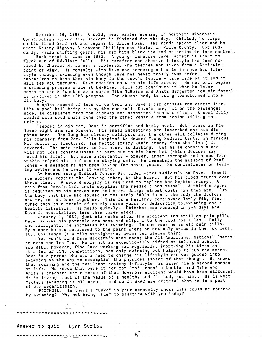November 16, 1988. A cold, near winter evening in northern Wisconsin. Construction worker Dave Heckert is finished for the day. Chilled, he slips on his lined hard hat and begins to drive home. The roads appear clear and he nears County Highway A between Phillips and Phelps in Price County. But suddenly, while shifting gears, his car hits black ice and he begins to lose control.

Back track in time to 1981. A young, immature Dave Heckert is about to flunk out of UW-River Falls. His carefree and abusive lifestyle has been noticed by Charles M. Jones, a professor who teaches and lives from a Christian point of view. He consults with Dave and encourages him to improve his lifestyle through swimming even though Dave has never really swum before. He emphasizes to Dave that his body is the Lord's temple - take care of it and it will see you through. Dave decides to turn his life around. He not only begins a swimming program while at UW-River Falls but continues it when he later moves to the Milwaukee area where Mike McGuire and Anita Hargarten get him formally involved in the USMS program. The abused body is being transformed into <sup>a</sup> fit body.

<sup>A</sup>split second of loss of control and Dave's car crosses the center line. Like a pool ball being hit by the cue ball, Dave's car, hit on the passenger side, is displaced from the highway and deposited into the ditch. A semi fully loaded with wood chips runs over the other vehicle from behind killing the driver.

Trapped in his car, Dave is horrified and badly hurt. Both bones in his lower right arm are broken. His small intestines are lacerated and his dia<sup>p</sup>hram torn. One lung has already collapsed and the other will collapse during his transfer from Park Falls Hospital to Howard Young Medical Center in Minaqua. His pelvis is fractured. His heptic artery (main artery from the liver) is severed. The main artery to his heart is leaking. But he is conscious and will not lose consciousness in part due to his hard hat (which doctors say saved his life). But more importantly - prayer, inner strength and peace from within helped him to focus on staying calm. He remembers the message of Prof Jones - <sup>a</sup>message he has been living for seven years. He concentrates on feeling better and he feels it working.

At Howard Young Medical Center Dr. Sidel works tediously on Dave. Immediate surgery repairs the leaking artery to the heart. But his blood "turns over" three times. A second surgery is required to replace the heptic artery. <sup>A</sup> vein-from Dave's left ankle supplies the needed blood vessel. A third surgery is required on his broken arm and nerve damage almost costs him that arm. But the body that Dave had abused in the early '80's is not the body the doctors now try to put back together. This is a healthy, cardiovascularly fit, fine tuned body as <sup>a</sup>result of nearly seven years of dedication to.swimming and a healthy lifestyle. He heals quickly. Stitches are removed in 3-4 days and Dave is hospitalized less than three weeks.

January 1, 1989, just six weeks after the accident and still on pain pills, Dave removes his portable arm cast and slips into the pool for 1 lap. Daily and dilligently he increases his swimming. In one week he is off pain pills. By summer he has recovered to the point where he not only swims in the Fox Lake, IL., Challenge (a 4 mile straightaway swim) but places third.

You won't find Dave Hackert's name among the All-Americans, National Champs, or even the Top Ten. He is not an exceptionally gifted or talented athlete. You WILL, however, find Dave working out regularly, improving his times and at a lot of USMS competitions, not only swimming but helping to run the meets. Dave is a person who saw a need to change his lifestyle and was guided into swimming as the way to accomplish the physical aspect of that change. He knows that swimming and the resultant healthy lifestyle has given him a second chance at life. He knows that were it not for Prof Jones' attention and Mike and Anita's coaching the outcome of that November accident would have been different. He is living proof of the value of a healthy and fit body and mind. He is what Masters swimming is all about - and we in WMAC are grateful that he **is a** par<sup>t</sup>

of our organization. FOOTNOTE: Is there a "Dave" in your community whose life could be touched by swimming? Why not bring "him" to practice with you today?

5.

## Answer to quiz: Lynn Surles

\* \* \* \* \* \* \* \* \* \* \* \* \* \* \* \*\_\* \* \*\_±\_\_\* \* \* \* \* \* \* \*-\*-'--

\*\*\*\*\*\*\*\*\*\*\*\*\*\*\*\*\*\*\*\*\*\*\*\*\*\*\*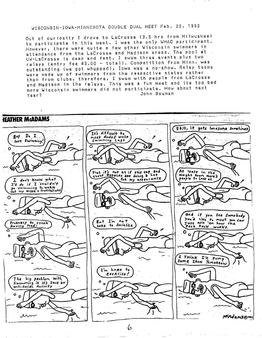# WISCONSIN-IOWA-MINNESOTA DOUBLE DUAL MEET Feb. 22, 1992

Out of curiosity I drove to LaCrosse (3.5 hrs from Milwuakee) to participate in this meet. I was the only WMAC participant. However, there were quite a few other Wisconsin swimmers in attendance from the LaCrosse and Madison areas. The pool at UW-LaCrosse is deep and fast. I swam three events plus two relays (entry fee \$3.00 - total). Competition from Minn. was outstanding (we got whupped), Iowa was a no-show. Relay teams were made up of swimmers from the respective states rather than from clubs, therefore, I swam with people from LaCrosse and Madison in the relays. This was a fun meet and its too bad more Wisconsin swimmers did not participate. How about next John Bauman Year?



 $\alpha$  and  $\beta$  and  $\beta$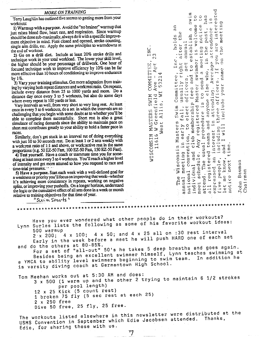### *MORE ON TRAINING*

Terry Laughlin has outlined five secrets to getting more from your workouts:

1) Warm up with a purpose. Avoid the "no brainer" warmup that just raises blood flow, heart rate, and respiration. Since warmup should be done sub-maximally, always doit with a specific improvement objective in mind. Fists closed and opened, stroke counting, single arm drills, etc. Apply the same principles to warmdowns at the end of workout

2) Go on a drill dieL Include at least 20% stroke drills and technique work in your total workload. The lower your skill level, the higher should be your percentage of drillwork. One hour of focused technique work to improve efficiency by 10% can be far more effective than 10 hours of conditioning to improve endurance by  $1\%$ .

3) Vary your training stimulus. Get more adaptation from training by varying both repeat distances and work:rest ratio. On repeats, include every distance from 25 to 1000 yards and more. Do <sup>a</sup> distance day once every 3 to *5* workouts, but also do some days where every repeat is 100 yards or less.

Vary intervals as well, from very short to very long rest At least once in every 3 to 6 workouts, do a set in which the intervals are so challenging that you begin with some doubt as to whether you'll be able to complete them successfully. Short rest is also a great simulator of racing demands since the ability to maintain pace on short rest contributes greatly to your ability to hold a faster pace in races.

Similarly, don't get stuck in an interval rut of doing everything with just 10 to 30 seconds rest. Do at least 1 or 2 sets weekly with <sup>a</sup>work:rest ratio of 1:1 and above, or work:active rest in the same proportions (e.g. 50 EZ-50 Fast, 100 EZ-50 Fast, 150 EZ-50 Fast).

4) Test yourself. Have a coach or teammate time you for something at least once every 3 to 4 workouts. You'll reach a higher level of intensity and get more attuned to how you respond to race and time-trial pressures.

5) Have a purpose. Start each week with a well-defined goal for <sup>a</sup>weakness or priority you'll focus on improving that week--whether it's achieving more consistency in repeats, working on negative splits, or improving your pushoffs. On a longer horizon, understand the logic or the cumulative effect of all sets done in a week or month relative to training objectives for that time of year.

"Swim Smarts "

w ...<br>W ... COMMITT<br>Ave - A<br>53214  $W<sub>L</sub>$ ::E:: 'O 3 H..-. 3 (l) .. L'J ..... (;1 Allis, MASTERS<br>W Green<br>est All West. ONSIN<br>11616 ิ<br>พิธี

u z  $\sim$  $\sim$ 

3<br>3: 00 5<br>5: 00 5<br>5: 00 5: 00<br>1. 00 5: 00 5: 00 5: 00 5: 00 5: 00 5: 00 5: 00 5: 00 5: 00 5: 00 5: 00 5: 00 5: 00 5: 00 5: 00 5: .<br>. .<br>. . . . . . ,.n ~~ ·....-4 (l) Ci C ~ *(i)* ;.. <sup>~</sup> m ,r, e ,\_, .. *(i)* C.i ·.-< usually right after the holds<br>er the<br>ualish<br>blish<br>welco<br>e neat<br>e meet<br>e meet  $\Box$  ៤ ហ ៨  $\Box$   $\bot$  ៤  $\Box$ Committee, Inc.,<br>usually right af<br>officers, set an<br>fees and to est<br>kaster swimmer i<br>to send a meeti<br>e else who, in t<br>ding. Average at<br>fficers. If you<br>fficers. If you <u>വ</u> ഗദദഠര Wisconsin Masters Swim<br>meeting in early fall,<br>l convention, to elect<br>thedule. Any registered<br>thedule. Any registered<br>The usual procedure i<br>istered teams and anyo<br>cople, including three<br>know, and I will inclu<br>next time. 1-i I-I ~') ,.n •r-i *3=*  (U 'D L' . til (f) ~ Cc, *Cc,*  (l) ..... C: •,-1 U) 'O (!.) '.n C. *il:•* ill ~ <sup>E</sup> .c: (1j 0 :> C: :... (1) s C.• <sup>~</sup> E--1 ;J ........... J..) ilJ I.., Ql ·r-1 ·= ·-- C: J-1 'O (j) .IJ rl ~ :> -1-,J .IJ ..e r;:I <sup>C</sup>co C: Q) .W..--i X ...... =J) 0 l~ ..c  $\vec{a}$  ជីអាគ្គីក្តសំ្មកាន់ h C

| 500 warmun |  | Have you ever wondered what other people do in their workouts?<br>Lynn Surles lists the following as some of his favorite workout ideas: |
|------------|--|------------------------------------------------------------------------------------------------------------------------------------------|

500 warmup 2·x 200; 4 x 100; 4 x 50; and 4 x 25 all on :30 rest interval Early in the week before a meet he will push HARD one of each set and do the others at 80-85%.

For a set of "all-out" 50's he takes 5 deep breaths and goes again. Besides being an excellent swimmer himself, Lynn teaches swimming at a YMCA to ability level swimmers beginning to swim team. is varsity diving coach at Germantown High School.

Tom Meehan works out at 5:30 AM and does: 3 x 500 (1 warm up and the other 2 trying to maintain 6 1/2 strokes per pool length)

12 x 25 Kick (5 count rest) <sup>1</sup>broken 75 fly (5 sec rest at each 25) 2 x 250 free Dive 50 free, 25 fly, 25 free.

\*\*\*\*\*\*\*\*\*\*\*\*\*\*\*\*\*\*\*\*\*\*\*\*\*\*\*\*\*\*\*\*\*\*\*\*\*\*\*\*\*\*\*\*\*\*\*\*\*\*\*\*\*\*\*\*\*\*\*\*\*\*\*\*\*\*\*\*\*\*\*\*\*\*

The workouts listed elsewhere in this newsletter were distributed at the USMS Convention in September which Edie Jacobsen attended. Edie, for sharing these with us.

 ${\bf 7}$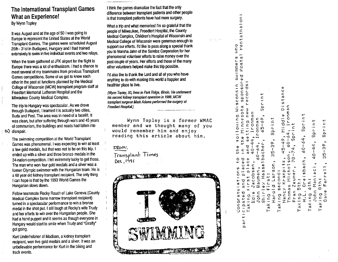# **The International Transplant Games What an Experience!**  By Wynn Tapley

It was August and at the age of 50 I was going to Europe to represent the United States at the World Transplant Games. The games were scheduled August 26th - 31st in Budapest, Hungary and I had trained extensively to swim in five individual events and two relays.

When the team gathered at JFK airport for the flight to Europe there was a lot of enthusiasm. I had a chance to meet several of my teammates from previous Transplant Games competitions. Some of us got to know each other in the past at functions planned by the Medical College of Wisconsin (MCW) transplant program staff at Froedtert Memorial Lutheran Hospital and the Milwaukee County Medical Complex.

The trip to Hungary was spectacular. As we drove through Budapest, I learned it is actually two cities, Buda and Pest. The area was in need of a facelift. It was clean, but after suffering through wars and 45 years of communism, the buildings and roads had fallen into  $\infty$  disrepair.

The swimming competition at the World Transplant Garnes was phenomenal. I was expecting to win at least a few gold medals, but that was not to be on this trip. I ended up with a silver and three bronze medals in the 34-nation competition. I fell extremely lucky to get those. The man who won four gold medals and a silver was <sup>a</sup> former Olympic swimmer with the Hungarian team. He is <sup>a</sup>60 year old kidney transplant recipient. The only thing <sup>I</sup>can hope is that by the 1993 World Games the Hungarian slows down.

Fellow teammate Rocky Rauch of Lake Geneva (County Medical Complex bone marrow transplant recipient} turned in a spectacular performance to win a bronze medal in the shot put. I still laugh at Rocky's wife Trudy and her efforts to win over the Hungarian people. She had a hand puppet and it seems as though everyone in Hungary would start to smile when Trudy and "Giraffy" got going.

Kurt Underholzner of Madison, a kidney transplant recipient, won five gold medals and a silver. It was an unbelievable performance for Kurt in the biking and track events.

<sup>I</sup>think the games dramatize the fact that the only difference between transplant patients and other people is that transplant patients have had more surgery.

What a trip and what memories! I'm so grateful that the people of Milwaukee, Froedtert Hospital, the County Medical Complex, Children's Hospital of Wisconsin and Medical College of Wisconsin were generous enough to support our efforts. I'd like to pass along a special thank you to Marsha Jahn of the Sandoz Corporation for her phenomenal volunteer efforts to raise money over the past couple of years. Her efforts and those of the many other volunteers helped make this trip possible.

I'd also like to thank the Lord and all of you who have anything to do with making this world a happier and healthier place to live.

(Wynn Topley, 50, lives in Park Ridge, Illinois. He underwent his second kidney transplant operation in 1988., MCW transplant surgeon Mark Adams performed the surgery at Froedtert Hospital.)

Wynn Tapley is a former WMAC member and we thought many of you would remember him and enjoy reading this article about him.

 $F$   $\&$   $\circ$ , -

Transplant limes  $0e^{i \cdot 191}$ 



 $\mathbf{r}$  **11)**  ..... .<br>C 0 1).1 C. l. 3:  $\overline{u}$  if **L,.** .....  $\widetilde{\mathbf{w}}$  of  $\mathsf{E} \, \mathfrak{L}$  . 3D  $\omega$ **L.** ... C n tl'I  $\equiv$  ທີ່ບັ່ງ ພ ∪ C L<br>C O O → L<br>O Q U C → N  $\begin{array}{ccc} \tilde{U} & \tilde{U} & \tilde{U} & \tilde{U} & \tilde{U} \ 0 & \tilde{U} & \tilde{U} & \tilde{U} & \tilde{U} \ 0 & \tilde{U} & \tilde{U} & \tilde{U} & \tilde{U} \end{array}$  $\mathfrak{w}$  lie later than  $\mathfrak{w}$  <sup>~</sup>0.. ·- <sup>C</sup>**3..a-i3 LO** O,,:i wings<br>nnesot<br>ng new<br>conman , see ,<br>- int donman<br>inconman  $0 \, \tilde{u} \subset E$  E ..... C ·- *L.*  0.. C 0-E C 0-.<br>-2 0 C 0 0 C = 0 C  $\frac{t}{c}$  +  $\frac{t}{c}$ C l'.: ·- ·- L *L.*  3 C C O E I · ···· - D <del>o t</del> -- L C D ፡ C · \_ \_ \_ L 0 -(Jj  $-$  7 + - 0 0 0  $\sim$  .  $\sim$   $\sim$ 0 ັດ<br>ທີ  $\omega$   $\sim$   $2.4$  - <sup>+</sup>' L  $\bullet$ **((1** (J) **<sup>0</sup>11• 1].I** ~ <sup>~</sup>•· **-...i) CL**  +.c.1.i1-.j" ~ •. (a,..J(.0 '<t  $\omega$  , and  $\omega$  , and the  $\omega$  $\mathfrak{g}$  in The  $\mathfrak{g}$  in The  $\mathfrak{g}$  in The  $\mathfrak{g}$  in The  $\mathfrak{g}$  $\mathsf{L}\ \mathtt{c}\ \mathtt{c}\ \mathtt{c}$  of  $\mathbb Q$  and  $\mathbb Q$  and  $\mathbb Q$  $\Box$   $\overline{a}$   $\overline{d}$  i  $\overline{0}$  in the responsion in  $\Box$ -+' -- $\dot{\mathbf{o}}$  , and it is not consider that  $\mathbf{e}\cdot\mathbf{e}$ 0.000 • 00 • 00 +-' **1].t LI ...** \_.. ... **N t(1r-..\_** *.C.*   $\mathbf{u}$  ,  $\mathbf{u}$  ,  $\mathbf{u}$  ,  $\mathbf{u}$  ,  $\mathbf{u}$  ,  $\mathbf{u}$  ,  $\mathbf{v}$  ,  $\mathbf{v}$  ,  $\mathbf{v}$  ,  $\mathbf{v}$ **u·, ,,:i .- a, ... 1\_11 •J •- tl• ... ,"(i a:::-0..1i1C1.{1 til••O..,,C.L .Q LI**  <sup>0</sup>0.. .0 ,,:i ,,:i • • L "Cl C U ,].I ta'I •'Ii •l• - '' <del>'</del> " D E I + 0 c 0 - E · '' · '' \_ ''  $\begin{array}{l} {\bf v}={\bf v} \oplus {\bf v} \oplus {\bf v} \oplus {\bf v} \oplus {\bf v} \oplus {\bf v} \oplus {\bf v} \oplus {\bf v} \oplus {\bf v} \oplus {\bf v} \oplus {\bf v} \oplus {\bf v} \oplus {\bf v} \oplus {\bf v} \oplus {\bf v} \oplus {\bf v} \oplus {\bf v} \oplus {\bf v} \oplus {\bf v} \oplus {\bf v} \oplus {\bf v} \oplus {\bf v} \oplus {\bf v} \oplus {\bf v} \oplus {\bf v} \oplus {\bf v} \oplus {\bf v} \oplus {\bf v} \oplus {\bf v} \oplus {\bf v} \$  $\mathbb{L}$   $\overline{a}$   $\mathbb{L}$   $\mathbb{C}$   $\overline{a}$   $\overline{a}$   $\mathbb{L}$  to  $\overline{a}$  , where  $\mathbb{L}$   $\mathbb{L}$   $\mathbb{L}$   $\mathbb{L}$   $\mathbb{L}$   $\mathbb{L}$   $\mathbb{L}$   $\mathbb{L}$   $\mathbb{L}$   $\mathbb{L}$   $\mathbb{L}$   $\mathbb{L}$   $\mathbb{L}$   $\mathbb{L}$   $\mathbb{L}$   $\math$ ecratus<br>Alegic Handic Microsoft<br>Alegic Handic Microsoft<br>Alegic Handic Microsoft<br>Alegic Microsoft<br>Alegic Microsoft<br>Alegic Microsoft<br>Alegic Microsoft  $5.2\%$  $\Box$ in in and in an in an in an in an in an in an in an in an in an in an in an in an in an in an in an in an in an in an in an in an in an in an in an in an in an in an in an in an in an in an in an in an in an in an in  $\mathsf{O}~\mathsf{u} \vdash \mathsf{v} \qquad \mathsf{H}$ ..... L. **,T,;** 

C 0 **11:i** 

相当 (84)

CL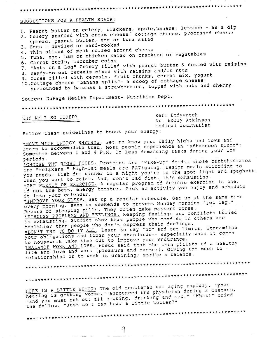# SUGGESTIONS FOR A HEALTH SNACK:

1. Peanut butter on celery, crackers, apple, banana, lettuce - as a dip 2. Celery stuffed with cream cheese, cottage cheese, processed cheese spread, peanut butter, egg or tuna salad 3. Eggs - deviled or hard-cooked 4. Thin slices of meat rolled around cheese 5. Tuna, egg, ham or chicken salad on crackers or vegetables 6. Carrot curls, cucumber coins 7. "Ants on a Log" Celery filled with peanut butter & dotted with raisins 8. Ready-to-eat cereals mixed with raisins and/or nuts 9. Cones filled with cereals, fruit chunks, cereal mix, yogurt 10. Cottage cheese "banana split"- a scoop of cottage cheese, surrounded by bananas & strawberries, topped with nuts and cherry. Source: DuPage Health Department- Nutrition Dept. 

WHY AM I SO TIRED?

Ref: Bodywatch Dr. Holly Atkinson Medical Journalist

Follow these guidelines to boost your energy:

\*MOVE WITH ENERGY RHYTHMS. Get to know your daily highs and lows and learn to accommodate them. Most people experience an "afternoon slump": Sometime between 1 and 4 P.M. Do less demanding tasks during your low periods. \*CHOOSE THE RIGHT FOODS. Proteins are "wake-up" foods, whole carbchydrates are "relaxers." High-fat meals are FATiguing. Design meals according to you needs- fish for dinner on a night you're in the spot light and spaghett: when you want to relax. And, don't fad diet, it's exhausting. \*GET PLENTY OF EXERCISE. A regular program of aerobic exercise is one, if not the best, energy booster. Pick an activity you enjoy and schedule it into your calendar. \*IMPROVE YOUR SLEEP. Set up a regular schedule. Get up at the same time every morning, even on weekends to prevent Monday morning "jet lag." Beware of sleeping pills. They often make matters worse. \*DISCUSS PROBLEMS AND FEELINGS. Keeping feelings and conflicts buried is exhausting. Studies show that people who confide in others are healthier than people who don't express their feelings. \*DON'T TRY TO DO IT ALL. Learn to say "no" and set limits. Streamline your obligations and lower your standards-- especially when it comes to housework take time out to improve your endurance. \*BALANCE WORK AND LOVE. Freud said that the twin pillars of a healthy life are love and work (pleasure and master). Giving too much to relationships or to work is draining; strike a balance. 

HERE IS A LITTLE HUMOR: The old gentleman was aging rapidly. "your hearing is getting worse," announced the physician during a checkup, "and you must cut out all smoking, drinking and sex," "What!" cried the fellow. "Just so I can hear a little better?"

 $\mathcal{F}_{\mathcal{L}}$